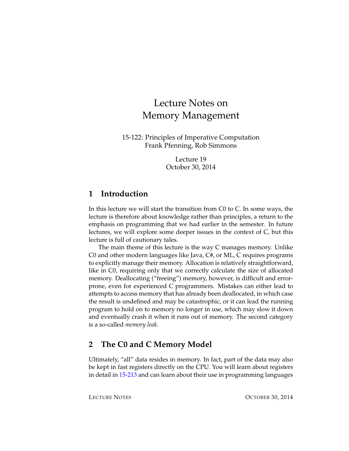# Lecture Notes on Memory Management

15-122: Principles of Imperative Computation Frank Pfenning, Rob Simmons

> Lecture 19 October 30, 2014

# **1 Introduction**

In this lecture we will start the transition from C0 to C. In some ways, the lecture is therefore about knowledge rather than principles, a return to the emphasis on programming that we had earlier in the semester. In future lectures, we will explore some deeper issues in the context of C, but this lecture is full of cautionary tales.

The main theme of this lecture is the way C manages memory. Unlike C0 and other modern languages like Java, C#, or ML, C requires programs to explicitly manage their memory. Allocation is relatively straightforward, like in C0, requiring only that we correctly calculate the size of allocated memory. Deallocating ("freeing") memory, however, is difficult and errorprone, even for experienced C programmers. Mistakes can either lead to attempts to access memory that has already been deallocated, in which case the result is undefined and may be catastrophic, or it can lead the running program to hold on to memory no longer in use, which may slow it down and eventually crash it when it runs out of memory. The second category is a so-called *memory leak*.

# **2 The C0 and C Memory Model**

Ultimately, "all" data resides in memory. In fact, part of the data may also be kept in fast registers directly on the CPU. You will learn about registers in detail in [15-213](http://www.cs.cmu.edu/~213/) and can learn about their use in programming languages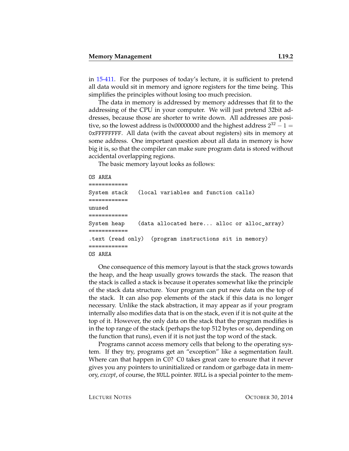in [15-411.](http://symbolaris.com/course/compiler11.html) For the purposes of today's lecture, it is sufficient to pretend all data would sit in memory and ignore registers for the time being. This simplifies the principles without losing too much precision.

The data in memory is addressed by memory addresses that fit to the addressing of the CPU in your computer. We will just pretend 32bit addresses, because those are shorter to write down. All addresses are positive, so the lowest address is 0x00000000 and the highest address  $2^{32} - 1 =$ 0xFFFFFFFF. All data (with the caveat about registers) sits in memory at some address. One important question about all data in memory is how big it is, so that the compiler can make sure program data is stored without accidental overlapping regions.

The basic memory layout looks as follows:

```
OS AREA
```

```
============
System stack (local variables and function calls)
============
unused
============
System heap (data allocated here... alloc or alloc_array)
============
.text (read only) (program instructions sit in memory)
============
OS AREA
```
One consequence of this memory layout is that the stack grows towards the heap, and the heap usually grows towards the stack. The reason that the stack is called a stack is because it operates somewhat like the principle of the stack data structure. Your program can put new data on the top of the stack. It can also pop elements of the stack if this data is no longer necessary. Unlike the stack abstraction, it may appear as if your program internally also modifies data that is on the stack, even if it is not quite at the top of it. However, the only data on the stack that the program modifies is in the top range of the stack (perhaps the top 512 bytes or so, depending on the function that runs), even if it is not just the top word of the stack.

Programs cannot access memory cells that belong to the operating system. If they try, programs get an "exception" like a segmentation fault. Where can that happen in C0? C0 takes great care to ensure that it never gives you any pointers to uninitialized or random or garbage data in memory, *except*, of course, the NULL pointer. NULL is a special pointer to the mem-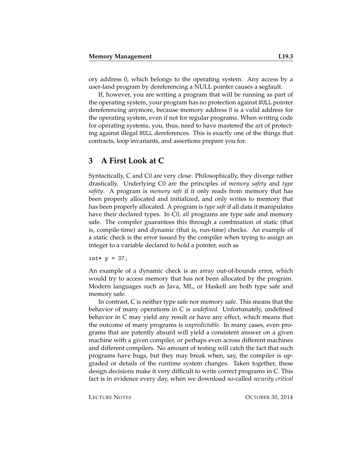ory address 0, which belongs to the operating system. Any access by a user-land program by dereferencing a NULL pointer causes a segfault.

If, however, you are writing a program that will be running as part of the operating system, your program has no protection against NULL pointer dereferencing anymore, because memory address 0 is a valid address for the operating system, even if not for regular programs. When writing code for operating systems, you, thus, need to have mastered the art of protecting against illegal NULL dereferences. This is exactly one of the things that contracts, loop invariants, and assertions prepare you for.

### **3 A First Look at C**

Syntactically, C and C0 are very close. Philosophically, they diverge rather drastically. Underlying C0 are the principles of *memory safety* and *type safety*. A program is *memory safe* if it only reads from memory that has been properly allocated and initialized, and only writes to memory that has been properly allocated. A program is *type safe* if all data it manipulates have their declared types. In C0, *all* programs are type safe and memory safe. The compiler guarantees this through a combination of static (that is, compile-time) and dynamic (that is, run-time) checks. An example of a static check is the error issued by the compiler when trying to assign an integer to a variable declared to hold a pointer, such as

int\*  $p = 37$ ;

An example of a dynamic check is an array out-of-bounds error, which would try to access memory that has not been allocated by the program. Modern languages such as Java, ML, or Haskell are both type safe and memory safe.

In contrast, C is neither type safe nor memory safe. This means that the behavior of many operations in C is *undefined*. Unfortunately, undefined behavior in C may yield any result or have any effect, which means that the outcome of many programs is *unpredictable*. In many cases, even programs that are patently absurd will yield a consistent answer on a given machine with a given compiler, or perhaps even across different machines and different compilers. No amount of testing will catch the fact that such programs have bugs, but they may break when, say, the compiler is upgraded or details of the runtime system changes. Taken together, these design decisions make it very difficult to write correct programs in C. This fact is in evidence every day, when we download so-called *security critical*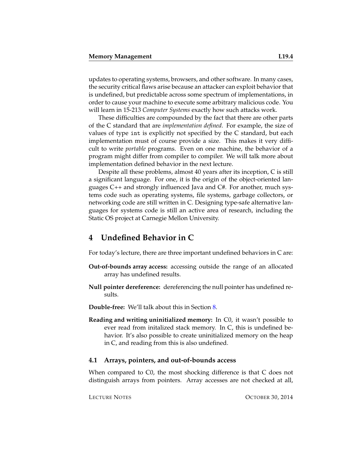updates to operating systems, browsers, and other software. In many cases, the security critical flaws arise because an attacker can exploit behavior that is undefined, but predictable across some spectrum of implementations, in order to cause your machine to execute some arbitrary malicious code. You will learn in 15-213 *Computer Systems* exactly how such attacks work.

These difficulties are compounded by the fact that there are other parts of the C standard that are *implementation defined*. For example, the size of values of type int is explicitly not specified by the C standard, but each implementation must of course provide a size. This makes it very difficult to write *portable* programs. Even on one machine, the behavior of a program might differ from compiler to compiler. We will talk more about implementation defined behavior in the next lecture.

Despite all these problems, almost 40 years after its inception, C is still a significant language. For one, it is the origin of the object-oriented languages C++ and strongly influenced Java and C#. For another, much systems code such as operating systems, file systems, garbage collectors, or networking code are still written in C. Designing type-safe alternative languages for systems code is still an active area of research, including the Static OS project at Carnegie Mellon University.

# **4 Undefined Behavior in C**

For today's lecture, there are three important undefined behaviors in C are:

- **Out-of-bounds array access:** accessing outside the range of an allocated array has undefined results.
- **Null pointer dereference:** dereferencing the null pointer has undefined results.
- **Double-free:** We'll talk about this in Section [8.](#page-9-0)
- **Reading and writing uninitialized memory:** In C0, it wasn't possible to ever read from initalized stack memory. In C, this is undefined behavior. It's also possible to create uninitialized memory on the heap in C, and reading from this is also undefined.

#### **4.1 Arrays, pointers, and out-of-bounds access**

When compared to C0, the most shocking difference is that C does not distinguish arrays from pointers. Array accesses are not checked at all,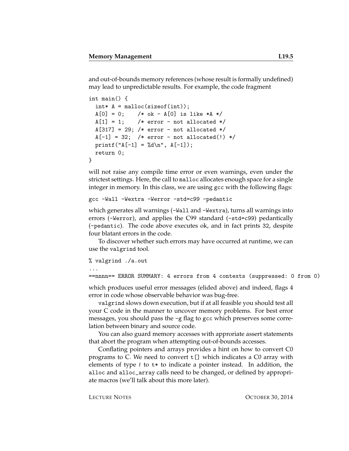and out-of-bounds memory references (whose result is formally undefined) may lead to unpredictable results. For example, the code fragment

```
int main() {
 int* A = malloc(sizeof(int));A[0] = 0; /* ok - A[0] is like *A */
 A[1] = 1; /* error - not allocated */
 A[317] = 29; /* error - not allocated */
 A[-1] = 32; /* error - not allocated(!) */
 printf("A[-1] = %d\n", A[-1]);
 return 0;
}
```
will not raise any compile time error or even warnings, even under the strictest settings. Here, the call to malloc allocates enough space for a single integer in memory. In this class, we are using gcc with the following flags:

gcc -Wall -Wextra -Werror -std=c99 -pedantic

which generates all warnings (-Wall and -Wextra), turns all warnings into errors (-Werror), and applies the C99 standard (-std=c99) pedantically (-pedantic). The code above executes ok, and in fact prints 32, despite four blatant errors in the code.

To discover whether such errors may have occurred at runtime, we can use the valgrind tool.

% valgrind ./a.out

...

==nnnn== ERROR SUMMARY: 4 errors from 4 contexts (suppressed: 0 from 0)

which produces useful error messages (elided above) and indeed, flags 4 error in code whose observable behavior was bug-free.

valgrind slows down execution, but if at all feasible you should test all your C code in the manner to uncover memory problems. For best error messages, you should pass the -g flag to gcc which preserves some correlation between binary and source code.

You can also guard memory accesses with approriate assert statements that abort the program when attempting out-of-bounds accesses.

Conflating pointers and arrays provides a hint on how to convert C0 programs to C. We need to convert  $t$  [] which indicates a C0 array with elements of type  $t$  to  $t$ \* to indicate a pointer instead. In addition, the alloc and alloc\_array calls need to be changed, or defined by appropriate macros (we'll talk about this more later).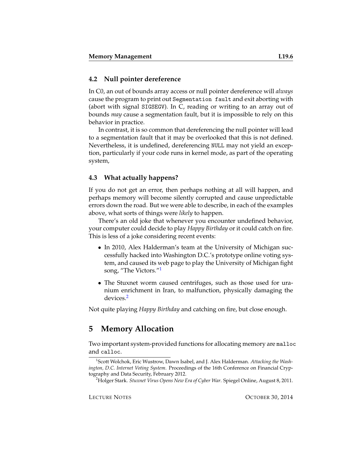#### **4.2 Null pointer dereference**

In C0, an out of bounds array access or null pointer dereference will *always* cause the program to print out Segmentation fault and exit aborting with (abort with signal SIGSEGV). In C, reading or writing to an array out of bounds *may* cause a segmentation fault, but it is impossible to rely on this behavior in practice.

In contrast, it is so common that dereferencing the null pointer will lead to a segmentation fault that it may be overlooked that this is not defined. Nevertheless, it is undefined, dereferencing NULL may not yield an exception, particularly if your code runs in kernel mode, as part of the operating system,

#### **4.3 What actually happens?**

If you do not get an error, then perhaps nothing at all will happen, and perhaps memory will become silently corrupted and cause unpredictable errors down the road. But we were able to describe, in each of the examples above, what sorts of things were *likely* to happen.

There's an old joke that whenever you encounter undefined behavior, your computer could decide to play *Happy Birthday* or it could catch on fire. This is less of a joke considering recent events:

- In 2010, Alex Halderman's team at the University of Michigan successfully hacked into Washington D.C.'s prototype online voting system, and caused its web page to play the University of Michigan fight song, "The Victors."[1](#page-5-0)
- The Stuxnet worm caused centrifuges, such as those used for uranium enrichment in Iran, to malfunction, physically damaging the devices.[2](#page-5-1)

Not quite playing *Happy Birthday* and catching on fire, but close enough.

# **5 Memory Allocation**

Two important system-provided functions for allocating memory are malloc and calloc.

<span id="page-5-0"></span><sup>1</sup> Scott Wolchok, Eric Wustrow, Dawn Isabel, and J. Alex Halderman. *Attacking the Washington, D.C. Internet Voting System*. Proceedings of the 16th Conference on Financial Cryptography and Data Security, February 2012.

<span id="page-5-1"></span><sup>2</sup>Holger Stark. *Stuxnet Virus Opens New Era of Cyber War*. Spiegel Online, August 8, 2011.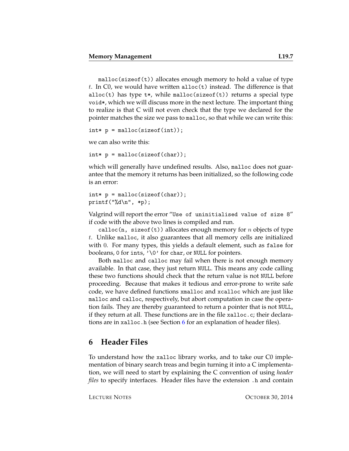malloc(sizeof(t)) allocates enough memory to hold a value of type t. In C0, we would have written alloc $(t)$  instead. The difference is that alloc(t) has type  $t*,$  while malloc(sizeof(t)) returns a special type void\*, which we will discuss more in the next lecture. The important thing to realize is that C will not even check that the type we declared for the pointer matches the size we pass to malloc, so that while we can write this:

 $int* p = malloc(sizeof(int));$ 

we can also write this:

int\* p = malloc(sizeof(char));

which will generally have undefined results. Also, malloc does not guarantee that the memory it returns has been initialized, so the following code is an error:

```
int* p = malloc(sizeof(char));
printf("%d\n", *p);
```
Valgrind will report the error "Use of uninitialised value of size 8" if code with the above two lines is compiled and run.

calloc(n, sizeof(t)) allocates enough memory for *n* objects of type  $t$ . Unlike malloc, it also guarantees that all memory cells are initialized with 0. For many types, this yields a default element, such as false for booleans, 0 for ints, '\0' for char, or NULL for pointers.

Both malloc and calloc may fail when there is not enough memory available. In that case, they just return NULL. This means any code calling these two functions should check that the return value is not NULL before proceeding. Because that makes it tedious and error-prone to write safe code, we have defined functions xmalloc and xcalloc which are just like malloc and calloc, respectively, but abort computation in case the operation fails. They are thereby guaranteed to return a pointer that is not NULL, if they return at all. These functions are in the file xalloc.c; their declarations are in xalloc.h (see Section [6](#page-6-0) for an explanation of header files).

# <span id="page-6-0"></span>**6 Header Files**

To understand how the xalloc library works, and to take our C0 implementation of binary search treas and begin turning it into a C implementation, we will need to start by explaining the C convention of using *header files* to specify interfaces. Header files have the extension .h and contain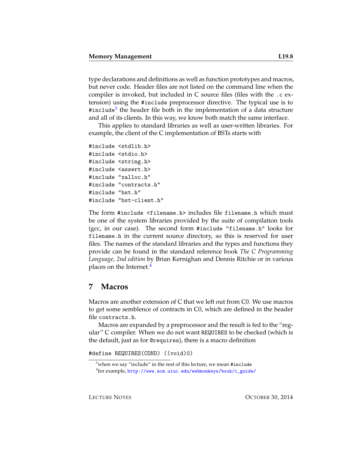type declarations and definitions as well as function prototypes and macros, but never code. Header files are not listed on the command line when the compiler is invoked, but included in C source files (files with the .c extension) using the #include preprocessor directive. The typical use is to #include<sup>[3](#page-7-0)</sup> the header file both in the implementation of a data structure and all of its clients. In this way, we know both match the same interface.

This applies to standard libraries as well as user-written libraries. For example, the client of the C implementation of BSTs starts with

```
#include <stdlib.h>
#include <stdio.h>
#include <string.h>
#include <assert.h>
#include "xalloc.h"
#include "contracts.h"
#include "bst.h"
#include "bst-client.h"
```
The form #include <filename.h> includes file filename.h which must be one of the system libraries provided by the suite of compilation tools (gcc, in our case). The second form #include "filename.h" looks for filename.h in the current source directory, so this is reserved for user files. The names of the standard libraries and the types and functions they provide can be found in the standard reference book *The C Programming Language, 2nd edition* by Brian Kernighan and Dennis Ritchie or in various places on the Internet.<sup>[4](#page-7-1)</sup>

### **7 Macros**

Macros are another extension of C that we left out from C0. We use macros to get some semblence of contracts in C0, which are defined in the header file contracts.h.

Macros are expanded by a preprocessor and the result is fed to the "regular" C compiler. When we do not want REQUIRES to be checked (which is the default, just as for @requires), there is a macro definition

#define REQUIRES(COND) ((void)0)

<span id="page-7-1"></span><span id="page-7-0"></span> $3$ when we say "include" in the rest of this lecture, we mean #include 4 for example, [http://www.acm.uiuc.edu/webmonkeys/book/c\\_guide/](http://www.acm.uiuc.edu/webmonkeys/book/c_guide/)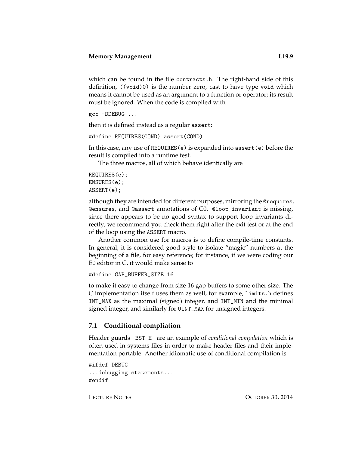which can be found in the file contracts.h. The right-hand side of this definition, ((void)0) is the number zero, cast to have type void which means it cannot be used as an argument to a function or operator; its result must be ignored. When the code is compiled with

```
gcc -DDEBUG ...
```
then it is defined instead as a regular assert:

```
#define REQUIRES(COND) assert(COND)
```
In this case, any use of REQUIRES(e) is expanded into assert(e) before the result is compiled into a runtime test.

The three macros, all of which behave identically are

REQUIRES(e); ENSURES(e); ASSERT(e);

although they are intended for different purposes, mirroring the @requires, @ensures, and @assert annotations of C0. @loop\_invariant is missing, since there appears to be no good syntax to support loop invariants directly; we recommend you check them right after the exit test or at the end of the loop using the ASSERT macro.

Another common use for macros is to define compile-time constants. In general, it is considered good style to isolate "magic" numbers at the beginning of a file, for easy reference; for instance, if we were coding our E0 editor in C, it would make sense to

```
#define GAP_BUFFER_SIZE 16
```
to make it easy to change from size 16 gap buffers to some other size. The C implementation itself uses them as well, for example, limits.h defines INT\_MAX as the maximal (signed) integer, and INT\_MIN and the minimal signed integer, and similarly for UINT\_MAX for unsigned integers.

#### **7.1 Conditional compliation**

Header guards \_BST\_H\_ are an example of *conditional compilation* which is often used in systems files in order to make header files and their implementation portable. Another idiomatic use of conditional compilation is

```
#ifdef DEBUG
...debugging statements...
#endif
```